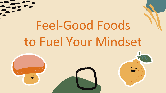# Feel-Good Foods to Fuel Your Mindset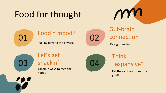### Food for thought







## connection

It's a gut feeling



Let's get

Tangible ways to feed the happy



Think "expansive"

Eat the rainbow to feel like gold!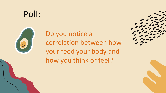### Poll:



Do you notice a correlation between how your feed your body and how you think or feel?

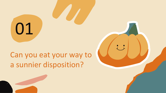01

### Can you eat your way to a sunnier disposition?

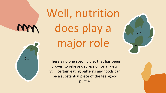## Well, nutrition does play a major role

There's no one specific diet that has been proven to relieve depression or anxiety. Still, certain eating patterns and foods can be a substantial piece of the feel-good puzzle.

 $\overline{u}$ 

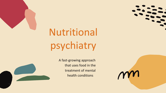

## Nutritional psychiatry



A fast-growing approach that uses food in the treatment of mental health conditions

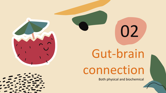

02

connection

Both physical and biochemical



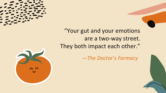

"Your gut and your emotions are a two-way street. They both impact each other."

*—The Doctor's Farmacy* 



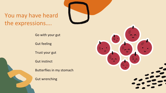#### You may have heard the expressions….

Go with your gut

Gut feeling

Trust your gut

Gut instinct

Butterflies in my stomach

Gut wrenching

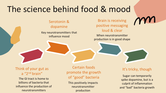### The science behind food & mood

Serotonin & dopamine

Key neurotransmitters that influence mood

Brain is receiving positive messaging loud & clear

When neurotransmitter production is in good shape

Think of your gut as a "2nd brain"

The GI tract is home to billions of bacteria that influence the production of neurotransmitters

Certain foods promote the growth of "good" bacteria

This positively impacts neurotransmitter production

#### It's tricky, though

Sugar can temporarily spike dopamine, but is a culprit of inflammation and "bad" bacteria growth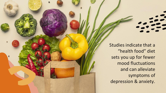

Studies indicate that a "health food" diet sets you up for fewer mood fluctuations and can alleviate symptoms of depression & anxiety.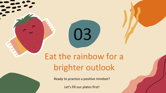### Eat the rainbow for a brighter outlook

03

Ready to practice a positive mindset?

Let's fill our plates first!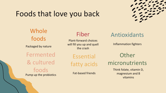### Foods that love you back



#### Whole foods Packaged by nature Fermented & cultured foods Pump up the probiotics

#### Fiber

Plant-forward choices will fill you up and quell the crash

Essential fatty acids

Fat-based friends

#### Antioxidants

Inflammation fighters

**Other** micronutrients

> Think folate, vitamin D, magnesium and B vitamins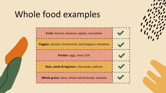### Whole food examples

**Fruits**: berries, bananas, apples, avocadoes

**Veggies**: spinach, mushrooms, bell peppers, tomatoes

**Protein**: eggs, meat, fish

**Nuts, seeds & legumes**: chia seeds, walnuts

**Whole grains**: farro, whole wheat bread, oatmeal

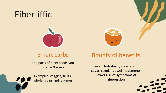### Fiber-iffic



#### Smart carbs

The parts of plant foods you body can't absorb



#### Bounty of benefits

Lower cholesterol, steady blood sugar, regular bowel movements, **lower risk of symptoms of depression**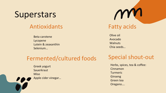### **Superstars**

#### Antioxidants

Beta carotene Lycopene Lutein & zeaxanthin Selenium…

#### Fermented/cultured foods

Greek yogurt **Sauerkraut** Miso Apple cider vinegar…



Olive oil Avocado **Walnuts** Chia seeds…

#### Special shout-out

Herbs, spices, tea & coffee: Cinnamon Turmeric Ginseng Green tea Oregano….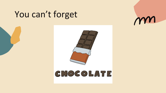### You can't forget

m



### CHOCOLATE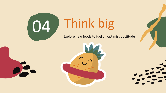

 $\bullet$ 

## 04 Think big

Explore new foods to fuel an optimistic attitude





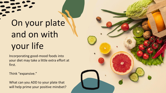## On your plate and on with your life

Incorporating good-mood foods into your diet may take a little extra effort at first.

Think "expansive."

What can you ADD to your plate that will help prime your positive mindset?

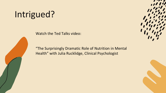### Intrigued?

Watch the Ted Talks video:

"The Surprisingly Dramatic Role of Nutrition in Mental Health" with Julia Rucklidge, Clinical Psychologist